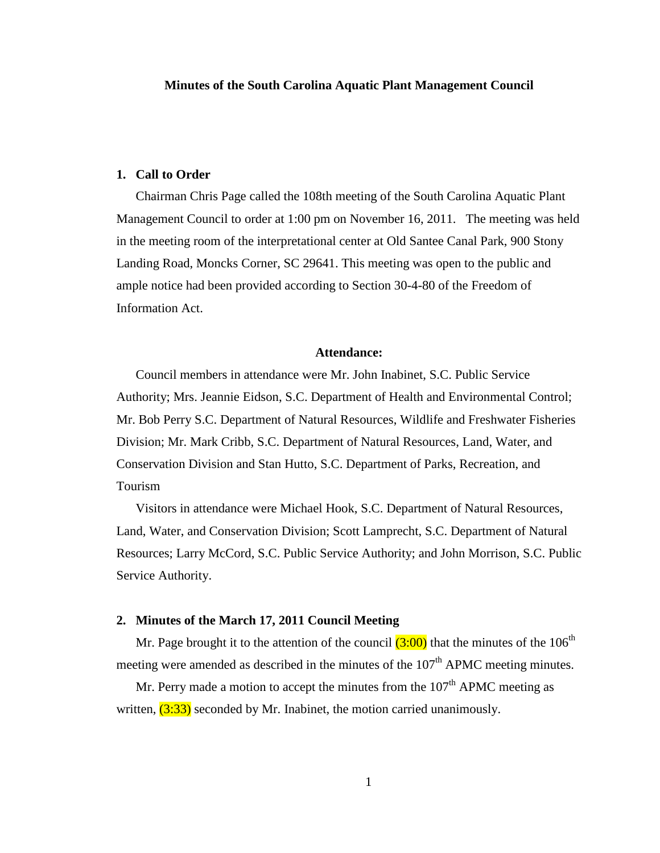#### **Minutes of the South Carolina Aquatic Plant Management Council**

#### **1. Call to Order**

Chairman Chris Page called the 108th meeting of the South Carolina Aquatic Plant Management Council to order at 1:00 pm on November 16, 2011. The meeting was held in the meeting room of the interpretational center at Old Santee Canal Park, 900 Stony Landing Road, Moncks Corner, SC 29641. This meeting was open to the public and ample notice had been provided according to Section 30-4-80 of the Freedom of Information Act.

#### **Attendance:**

Council members in attendance were Mr. John Inabinet, S.C. Public Service Authority; Mrs. Jeannie Eidson, S.C. Department of Health and Environmental Control; Mr. Bob Perry S.C. Department of Natural Resources, Wildlife and Freshwater Fisheries Division; Mr. Mark Cribb, S.C. Department of Natural Resources, Land, Water, and Conservation Division and Stan Hutto, S.C. Department of Parks, Recreation, and Tourism

Visitors in attendance were Michael Hook, S.C. Department of Natural Resources, Land, Water, and Conservation Division; Scott Lamprecht, S.C. Department of Natural Resources; Larry McCord, S.C. Public Service Authority; and John Morrison, S.C. Public Service Authority.

#### **2. Minutes of the March 17, 2011 Council Meeting**

Mr. Page brought it to the attention of the council  $(3:00)$  that the minutes of the 106<sup>th</sup> meeting were amended as described in the minutes of the  $107<sup>th</sup>$  APMC meeting minutes.

Mr. Perry made a motion to accept the minutes from the  $107<sup>th</sup>$  APMC meeting as written,  $(3:33)$  seconded by Mr. Inabinet, the motion carried unanimously.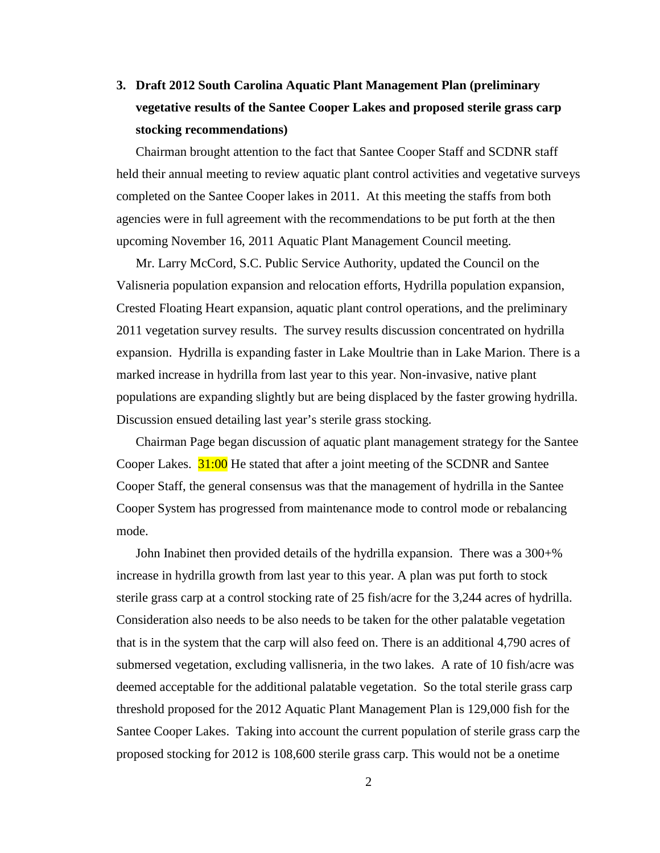# **3. Draft 2012 South Carolina Aquatic Plant Management Plan (preliminary vegetative results of the Santee Cooper Lakes and proposed sterile grass carp stocking recommendations)**

Chairman brought attention to the fact that Santee Cooper Staff and SCDNR staff held their annual meeting to review aquatic plant control activities and vegetative surveys completed on the Santee Cooper lakes in 2011. At this meeting the staffs from both agencies were in full agreement with the recommendations to be put forth at the then upcoming November 16, 2011 Aquatic Plant Management Council meeting.

Mr. Larry McCord, S.C. Public Service Authority, updated the Council on the Valisneria population expansion and relocation efforts, Hydrilla population expansion, Crested Floating Heart expansion, aquatic plant control operations, and the preliminary 2011 vegetation survey results. The survey results discussion concentrated on hydrilla expansion. Hydrilla is expanding faster in Lake Moultrie than in Lake Marion. There is a marked increase in hydrilla from last year to this year. Non-invasive, native plant populations are expanding slightly but are being displaced by the faster growing hydrilla. Discussion ensued detailing last year's sterile grass stocking.

Chairman Page began discussion of aquatic plant management strategy for the Santee Cooper Lakes. **31:00** He stated that after a joint meeting of the SCDNR and Santee Cooper Staff, the general consensus was that the management of hydrilla in the Santee Cooper System has progressed from maintenance mode to control mode or rebalancing mode.

John Inabinet then provided details of the hydrilla expansion. There was a 300+% increase in hydrilla growth from last year to this year. A plan was put forth to stock sterile grass carp at a control stocking rate of 25 fish/acre for the 3,244 acres of hydrilla. Consideration also needs to be also needs to be taken for the other palatable vegetation that is in the system that the carp will also feed on. There is an additional 4,790 acres of submersed vegetation, excluding vallisneria, in the two lakes. A rate of 10 fish/acre was deemed acceptable for the additional palatable vegetation. So the total sterile grass carp threshold proposed for the 2012 Aquatic Plant Management Plan is 129,000 fish for the Santee Cooper Lakes. Taking into account the current population of sterile grass carp the proposed stocking for 2012 is 108,600 sterile grass carp. This would not be a onetime

2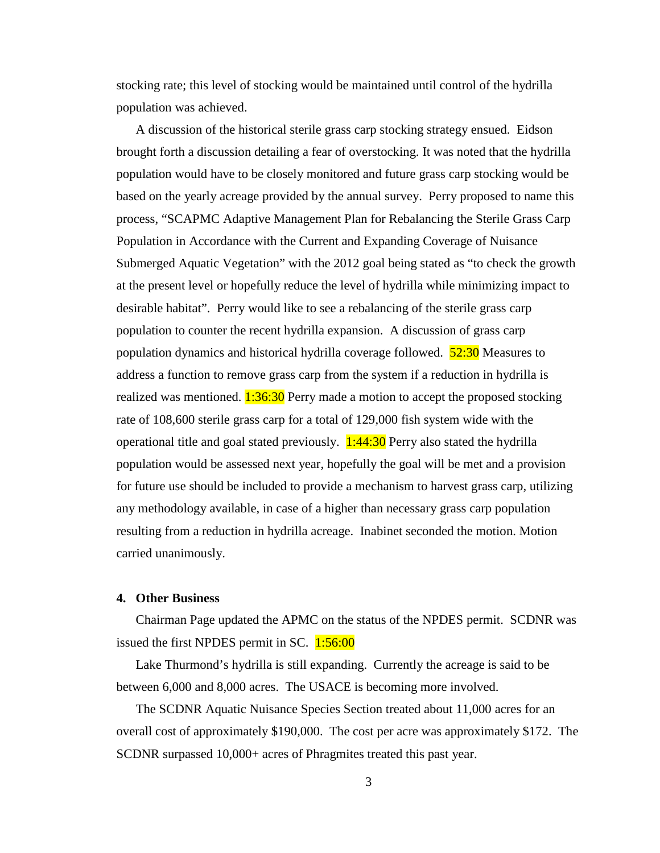stocking rate; this level of stocking would be maintained until control of the hydrilla population was achieved.

A discussion of the historical sterile grass carp stocking strategy ensued. Eidson brought forth a discussion detailing a fear of overstocking. It was noted that the hydrilla population would have to be closely monitored and future grass carp stocking would be based on the yearly acreage provided by the annual survey. Perry proposed to name this process, "SCAPMC Adaptive Management Plan for Rebalancing the Sterile Grass Carp Population in Accordance with the Current and Expanding Coverage of Nuisance Submerged Aquatic Vegetation" with the 2012 goal being stated as "to check the growth at the present level or hopefully reduce the level of hydrilla while minimizing impact to desirable habitat". Perry would like to see a rebalancing of the sterile grass carp population to counter the recent hydrilla expansion. A discussion of grass carp population dynamics and historical hydrilla coverage followed. **52:30** Measures to address a function to remove grass carp from the system if a reduction in hydrilla is realized was mentioned.  $1:36:30$  Perry made a motion to accept the proposed stocking rate of 108,600 sterile grass carp for a total of 129,000 fish system wide with the operational title and goal stated previously.  $1:44:30$  Perry also stated the hydrilla population would be assessed next year, hopefully the goal will be met and a provision for future use should be included to provide a mechanism to harvest grass carp, utilizing any methodology available, in case of a higher than necessary grass carp population resulting from a reduction in hydrilla acreage. Inabinet seconded the motion. Motion carried unanimously.

### **4. Other Business**

Chairman Page updated the APMC on the status of the NPDES permit. SCDNR was issued the first NPDES permit in SC. 1:56:00

Lake Thurmond's hydrilla is still expanding. Currently the acreage is said to be between 6,000 and 8,000 acres. The USACE is becoming more involved.

The SCDNR Aquatic Nuisance Species Section treated about 11,000 acres for an overall cost of approximately \$190,000. The cost per acre was approximately \$172. The SCDNR surpassed 10,000+ acres of Phragmites treated this past year.